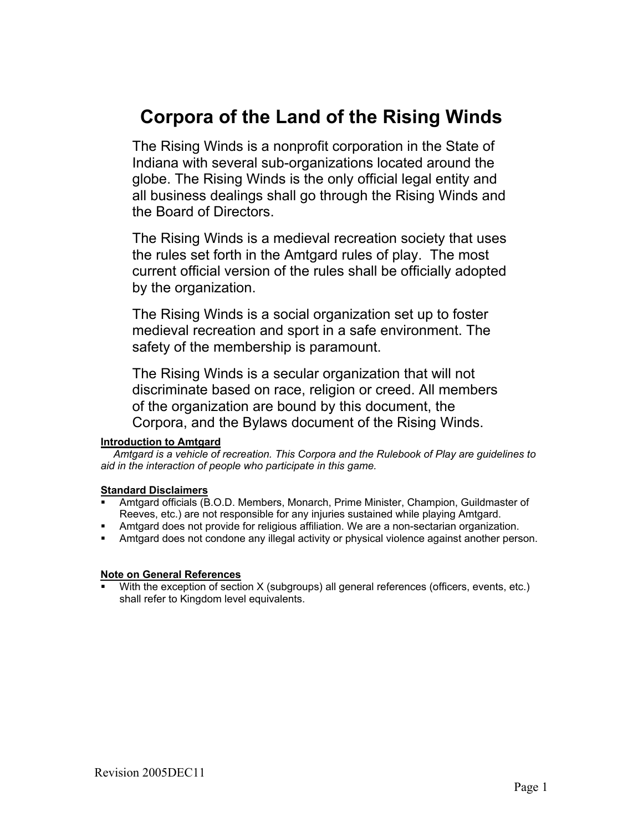## **Corpora of the Land of the Rising Winds**

The Rising Winds is a nonprofit corporation in the State of Indiana with several sub-organizations located around the globe. The Rising Winds is the only official legal entity and all business dealings shall go through the Rising Winds and the Board of Directors.

The Rising Winds is a medieval recreation society that uses the rules set forth in the Amtgard rules of play. The most current official version of the rules shall be officially adopted by the organization.

The Rising Winds is a social organization set up to foster medieval recreation and sport in a safe environment. The safety of the membership is paramount.

The Rising Winds is a secular organization that will not discriminate based on race, religion or creed. All members of the organization are bound by this document, the Corpora, and the Bylaws document of the Rising Winds.

#### **Introduction to Amtgard**

 *Amtgard is a vehicle of recreation. This Corpora and the Rulebook of Play are guidelines to aid in the interaction of people who participate in this game.* 

#### **Standard Disclaimers**

- Amtgard officials (B.O.D. Members, Monarch, Prime Minister, Champion, Guildmaster of Reeves, etc.) are not responsible for any injuries sustained while playing Amtgard.
- Amtgard does not provide for religious affiliation. We are a non-sectarian organization.
- Amtgard does not condone any illegal activity or physical violence against another person.

#### **Note on General References**

With the exception of section X (subgroups) all general references (officers, events, etc.) shall refer to Kingdom level equivalents.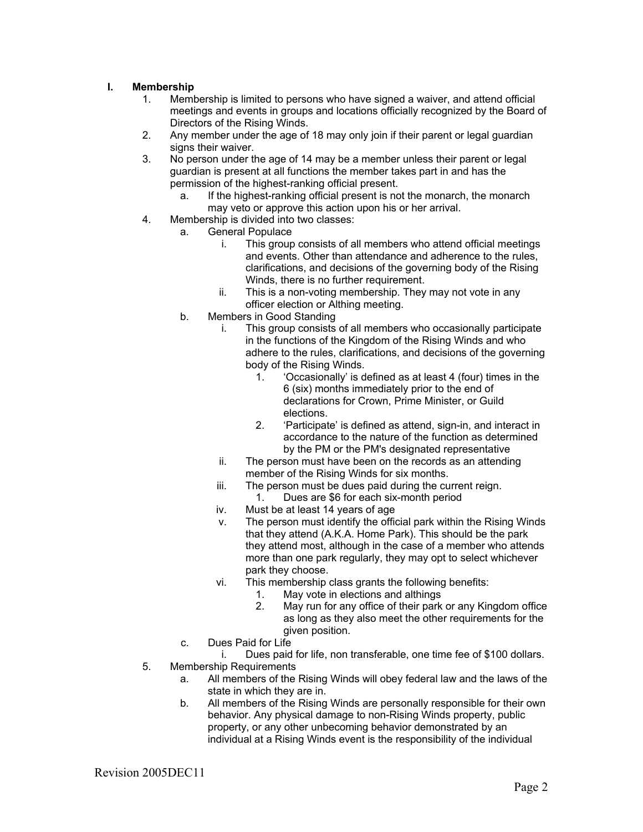#### **I. Membership**

- 1. Membership is limited to persons who have signed a waiver, and attend official meetings and events in groups and locations officially recognized by the Board of Directors of the Rising Winds.
- 2. Any member under the age of 18 may only join if their parent or legal guardian signs their waiver.
- 3. No person under the age of 14 may be a member unless their parent or legal guardian is present at all functions the member takes part in and has the permission of the highest-ranking official present.
	- a. If the highest-ranking official present is not the monarch, the monarch may veto or approve this action upon his or her arrival.
- 4. Membership is divided into two classes:
	- a. General Populace
		- i. This group consists of all members who attend official meetings and events. Other than attendance and adherence to the rules, clarifications, and decisions of the governing body of the Rising Winds, there is no further requirement.
		- ii. This is a non-voting membership. They may not vote in any officer election or Althing meeting.
		- b. Members in Good Standing
			- i. This group consists of all members who occasionally participate in the functions of the Kingdom of the Rising Winds and who adhere to the rules, clarifications, and decisions of the governing body of the Rising Winds.
				- 1. 'Occasionally' is defined as at least 4 (four) times in the 6 (six) months immediately prior to the end of declarations for Crown, Prime Minister, or Guild elections.
				- 2. 'Participate' is defined as attend, sign-in, and interact in accordance to the nature of the function as determined by the PM or the PM's designated representative
			- ii. The person must have been on the records as an attending member of the Rising Winds for six months.
			- iii. The person must be dues paid during the current reign. 1. Dues are \$6 for each six-month period
			- iv. Must be at least 14 years of age
			- v. The person must identify the official park within the Rising Winds that they attend (A.K.A. Home Park). This should be the park they attend most, although in the case of a member who attends more than one park regularly, they may opt to select whichever park they choose.
			- vi. This membership class grants the following benefits:
				- 1. May vote in elections and althings
				- 2. May run for any office of their park or any Kingdom office as long as they also meet the other requirements for the given position.
		- c. Dues Paid for Life

i. Dues paid for life, non transferable, one time fee of \$100 dollars. 5. Membership Requirements

- a. All members of the Rising Winds will obey federal law and the laws of the state in which they are in.
- b. All members of the Rising Winds are personally responsible for their own behavior. Any physical damage to non-Rising Winds property, public property, or any other unbecoming behavior demonstrated by an individual at a Rising Winds event is the responsibility of the individual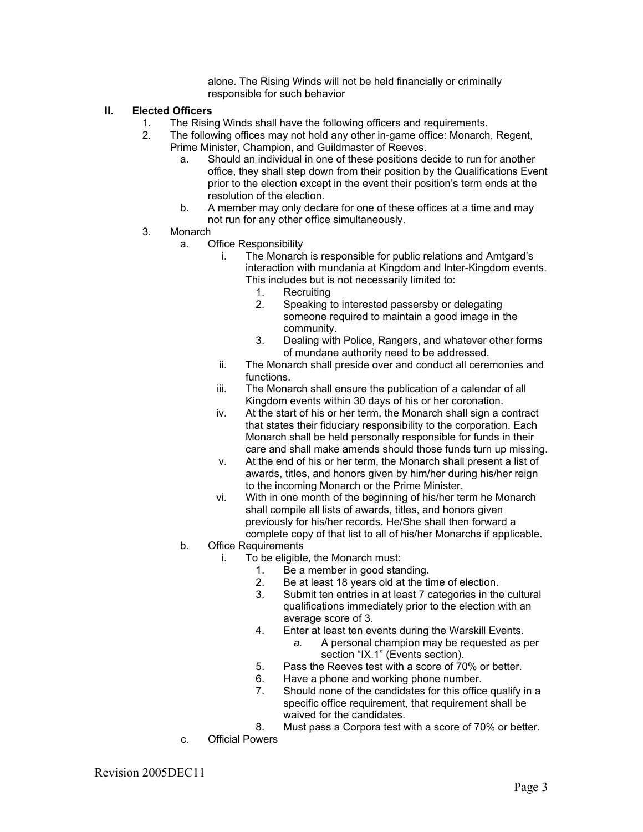alone. The Rising Winds will not be held financially or criminally responsible for such behavior

#### **II. Elected Officers**

- 
- 1. The Rising Winds shall have the following officers and requirements.<br>2. The following offices may not hold any other in-game office: Monarch The following offices may not hold any other in-game office: Monarch, Regent, Prime Minister, Champion, and Guildmaster of Reeves.
	- a. Should an individual in one of these positions decide to run for another office, they shall step down from their position by the Qualifications Event prior to the election except in the event their position's term ends at the resolution of the election.
	- b. A member may only declare for one of these offices at a time and may not run for any other office simultaneously.
- 3. Monarch
	- a. Office Responsibility
		- i. The Monarch is responsible for public relations and Amtgard's interaction with mundania at Kingdom and Inter-Kingdom events. This includes but is not necessarily limited to:
			- 1. Recruiting
			- 2. Speaking to interested passersby or delegating someone required to maintain a good image in the community.
			- 3. Dealing with Police, Rangers, and whatever other forms of mundane authority need to be addressed.
		- ii. The Monarch shall preside over and conduct all ceremonies and functions.
		- iii. The Monarch shall ensure the publication of a calendar of all Kingdom events within 30 days of his or her coronation.
		- iv. At the start of his or her term, the Monarch shall sign a contract that states their fiduciary responsibility to the corporation. Each Monarch shall be held personally responsible for funds in their care and shall make amends should those funds turn up missing.
		- v. At the end of his or her term, the Monarch shall present a list of awards, titles, and honors given by him/her during his/her reign to the incoming Monarch or the Prime Minister.
		- vi. With in one month of the beginning of his/her term he Monarch shall compile all lists of awards, titles, and honors given previously for his/her records. He/She shall then forward a complete copy of that list to all of his/her Monarchs if applicable.
	- b. Office Requirements
		- i. To be eligible, the Monarch must:
			- 1. Be a member in good standing.
			- 2. Be at least 18 years old at the time of election.
			- 3. Submit ten entries in at least 7 categories in the cultural qualifications immediately prior to the election with an average score of 3.
			- 4. Enter at least ten events during the Warskill Events.
				- *a.* A personal champion may be requested as per section "IX.1" (Events section).
			- 5. Pass the Reeves test with a score of 70% or better.
			- 6. Have a phone and working phone number.
			- 7. Should none of the candidates for this office qualify in a specific office requirement, that requirement shall be waived for the candidates.
			- 8. Must pass a Corpora test with a score of 70% or better.
	- c. Official Powers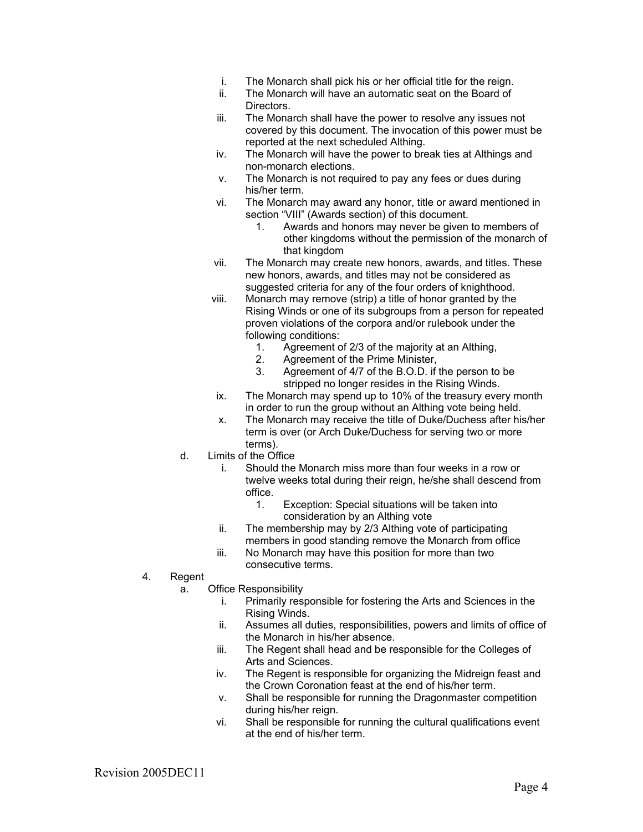- i. The Monarch shall pick his or her official title for the reign.
- ii. The Monarch will have an automatic seat on the Board of Directors.
- iii. The Monarch shall have the power to resolve any issues not covered by this document. The invocation of this power must be reported at the next scheduled Althing.
- iv. The Monarch will have the power to break ties at Althings and non-monarch elections.
- v. The Monarch is not required to pay any fees or dues during his/her term.
- vi. The Monarch may award any honor, title or award mentioned in section "VIII" (Awards section) of this document.
	- 1. Awards and honors may never be given to members of other kingdoms without the permission of the monarch of that kingdom
- vii. The Monarch may create new honors, awards, and titles. These new honors, awards, and titles may not be considered as suggested criteria for any of the four orders of knighthood.
- viii. Monarch may remove (strip) a title of honor granted by the Rising Winds or one of its subgroups from a person for repeated proven violations of the corpora and/or rulebook under the following conditions:
	- 1. Agreement of 2/3 of the majority at an Althing,<br>2. Agreement of the Prime Minister,
	- 2. Agreement of the Prime Minister,<br>3. Agreement of 4/7 of the B.O.D. if
	- Agreement of 4/7 of the B.O.D. if the person to be stripped no longer resides in the Rising Winds.
- ix. The Monarch may spend up to 10% of the treasury every month in order to run the group without an Althing vote being held.
- x. The Monarch may receive the title of Duke/Duchess after his/her term is over (or Arch Duke/Duchess for serving two or more terms).
- d. Limits of the Office
	- i. Should the Monarch miss more than four weeks in a row or twelve weeks total during their reign, he/she shall descend from office.
		- 1. Exception: Special situations will be taken into consideration by an Althing vote
	- ii. The membership may by 2/3 Althing vote of participating members in good standing remove the Monarch from office
	- iii. No Monarch may have this position for more than two consecutive terms.
- 4. Regent
	- a. Office Responsibility
		- i. Primarily responsible for fostering the Arts and Sciences in the Rising Winds.
		- ii. Assumes all duties, responsibilities, powers and limits of office of the Monarch in his/her absence.
		- iii. The Regent shall head and be responsible for the Colleges of Arts and Sciences.
		- iv. The Regent is responsible for organizing the Midreign feast and the Crown Coronation feast at the end of his/her term.
		- v. Shall be responsible for running the Dragonmaster competition during his/her reign.
		- vi. Shall be responsible for running the cultural qualifications event at the end of his/her term.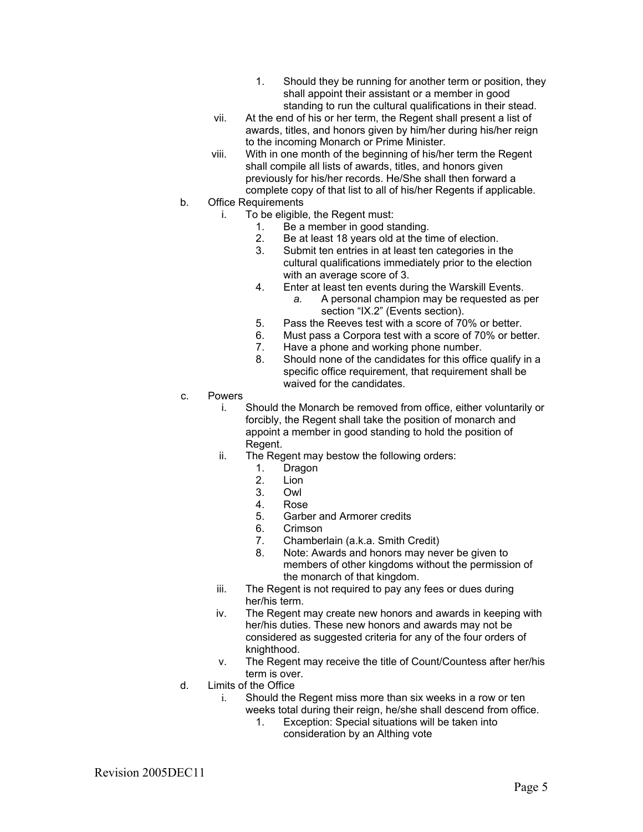- 1. Should they be running for another term or position, they shall appoint their assistant or a member in good standing to run the cultural qualifications in their stead.
- vii. At the end of his or her term, the Regent shall present a list of awards, titles, and honors given by him/her during his/her reign to the incoming Monarch or Prime Minister.
- viii. With in one month of the beginning of his/her term the Regent shall compile all lists of awards, titles, and honors given previously for his/her records. He/She shall then forward a complete copy of that list to all of his/her Regents if applicable.
- b. Office Requirements
	- i. To be eligible, the Regent must:
		- 1. Be a member in good standing.
		- 2. Be at least 18 years old at the time of election.
		- 3. Submit ten entries in at least ten categories in the cultural qualifications immediately prior to the election with an average score of 3.
		- 4. Enter at least ten events during the Warskill Events.
			- *a.* A personal champion may be requested as per section "IX.2" (Events section).
		- 5. Pass the Reeves test with a score of 70% or better.
		- 6. Must pass a Corpora test with a score of 70% or better.
		- 7. Have a phone and working phone number.
		- 8. Should none of the candidates for this office qualify in a specific office requirement, that requirement shall be waived for the candidates.
- c. Powers
	- i. Should the Monarch be removed from office, either voluntarily or forcibly, the Regent shall take the position of monarch and appoint a member in good standing to hold the position of Regent.
	- ii. The Regent may bestow the following orders:
		- 1. Dragon
		- 2. Lion
		- 3. Owl
		- 4. Rose
		- 5. Garber and Armorer credits
		- 6. Crimson
		- 7. Chamberlain (a.k.a. Smith Credit)
		- 8. Note: Awards and honors may never be given to members of other kingdoms without the permission of the monarch of that kingdom.
	- iii. The Regent is not required to pay any fees or dues during her/his term.
	- iv. The Regent may create new honors and awards in keeping with her/his duties. These new honors and awards may not be considered as suggested criteria for any of the four orders of knighthood.
	- v. The Regent may receive the title of Count/Countess after her/his term is over.
- d. Limits of the Office
	- i. Should the Regent miss more than six weeks in a row or ten weeks total during their reign, he/she shall descend from office.
		- 1. Exception: Special situations will be taken into consideration by an Althing vote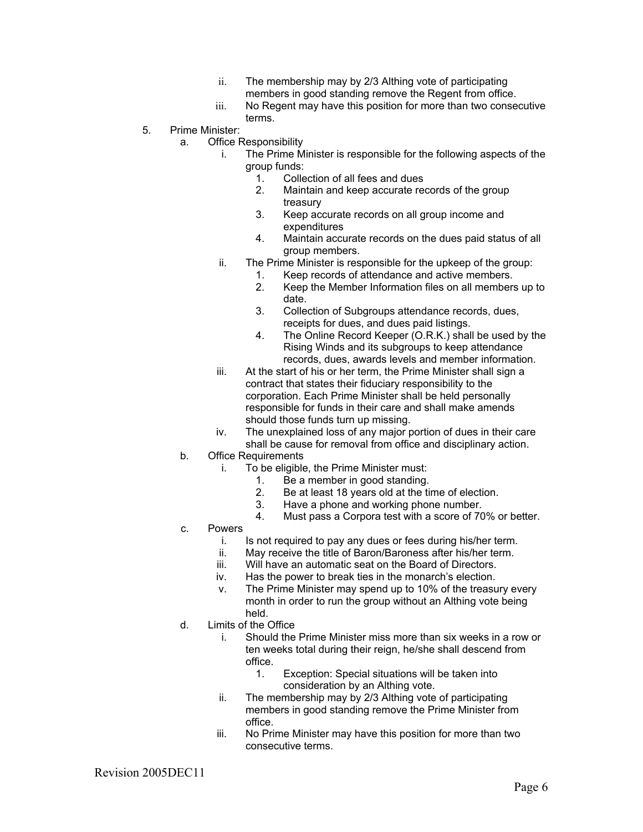- ii. The membership may by 2/3 Althing vote of participating members in good standing remove the Regent from office.
- iii. No Regent may have this position for more than two consecutive terms.
- 5. Prime Minister:
	- a. Office Responsibility
		- i. The Prime Minister is responsible for the following aspects of the group funds:
			- 1. Collection of all fees and dues<br>2. Maintain and keep accurate re-
			- Maintain and keep accurate records of the group treasury
			- 3. Keep accurate records on all group income and expenditures
			- 4. Maintain accurate records on the dues paid status of all group members.
		- ii. The Prime Minister is responsible for the upkeep of the group:
			- 1. Keep records of attendance and active members.
			- 2. Keep the Member Information files on all members up to date.
			- 3. Collection of Subgroups attendance records, dues, receipts for dues, and dues paid listings.
			- 4. The Online Record Keeper (O.R.K.) shall be used by the Rising Winds and its subgroups to keep attendance records, dues, awards levels and member information.
		- iii. At the start of his or her term, the Prime Minister shall sign a contract that states their fiduciary responsibility to the corporation. Each Prime Minister shall be held personally responsible for funds in their care and shall make amends should those funds turn up missing.
		- iv. The unexplained loss of any major portion of dues in their care shall be cause for removal from office and disciplinary action.
	- b. Office Requirements
		- i. To be eligible, the Prime Minister must:
			- 1. Be a member in good standing.
				- 2. Be at least 18 years old at the time of election.<br>3. Have a phone and working phone number.
				- Have a phone and working phone number.
			- 4. Must pass a Corpora test with a score of 70% or better.
	- c. Powers
		- i. Is not required to pay any dues or fees during his/her term.
		- ii. May receive the title of Baron/Baroness after his/her term.
		- iii. Will have an automatic seat on the Board of Directors.
		- iv. Has the power to break ties in the monarch's election.
		- v. The Prime Minister may spend up to 10% of the treasury every month in order to run the group without an Althing vote being held.
	- d. Limits of the Office
		- i. Should the Prime Minister miss more than six weeks in a row or ten weeks total during their reign, he/she shall descend from office.
			- 1. Exception: Special situations will be taken into consideration by an Althing vote.
		- ii. The membership may by 2/3 Althing vote of participating members in good standing remove the Prime Minister from office.
		- iii. No Prime Minister may have this position for more than two consecutive terms.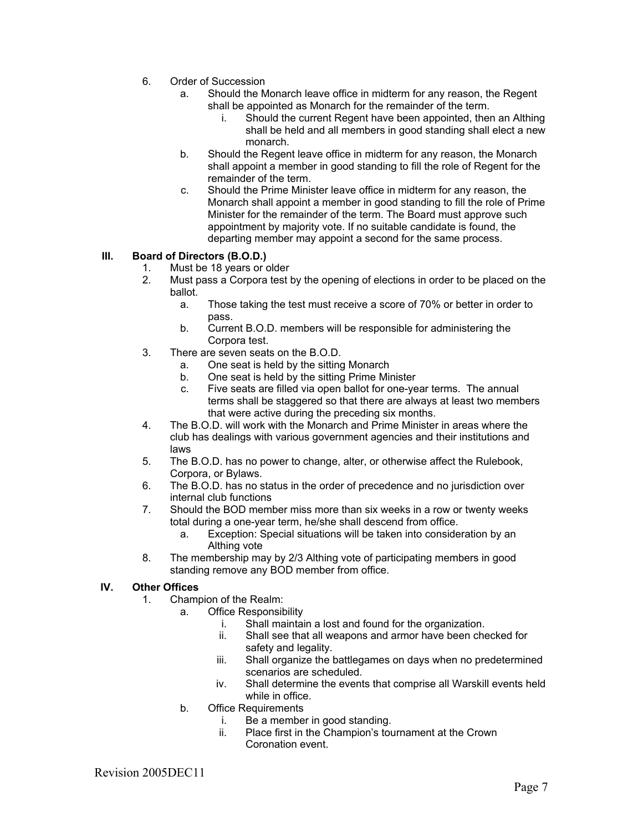- 6. Order of Succession
	- a. Should the Monarch leave office in midterm for any reason, the Regent shall be appointed as Monarch for the remainder of the term.
		- i. Should the current Regent have been appointed, then an Althing shall be held and all members in good standing shall elect a new monarch.
	- b. Should the Regent leave office in midterm for any reason, the Monarch shall appoint a member in good standing to fill the role of Regent for the remainder of the term.
	- c. Should the Prime Minister leave office in midterm for any reason, the Monarch shall appoint a member in good standing to fill the role of Prime Minister for the remainder of the term. The Board must approve such appointment by majority vote. If no suitable candidate is found, the departing member may appoint a second for the same process.

### **III. Board of Directors (B.O.D.)**

- 1. Must be 18 years or older<br>2. Must pass a Corpora test l
- 2. Must pass a Corpora test by the opening of elections in order to be placed on the ballot.
	- a. Those taking the test must receive a score of 70% or better in order to pass.
	- b. Current B.O.D. members will be responsible for administering the Corpora test.
- 3. There are seven seats on the B.O.D.
	- a. One seat is held by the sitting Monarch
	- b. One seat is held by the sitting Prime Minister
	- c. Five seats are filled via open ballot for one-year terms. The annual terms shall be staggered so that there are always at least two members that were active during the preceding six months.
- 4. The B.O.D. will work with the Monarch and Prime Minister in areas where the club has dealings with various government agencies and their institutions and laws
- 5. The B.O.D. has no power to change, alter, or otherwise affect the Rulebook, Corpora, or Bylaws.
- 6. The B.O.D. has no status in the order of precedence and no jurisdiction over internal club functions
- 7. Should the BOD member miss more than six weeks in a row or twenty weeks total during a one-year term, he/she shall descend from office.
	- a. Exception: Special situations will be taken into consideration by an Althing vote
- 8. The membership may by 2/3 Althing vote of participating members in good standing remove any BOD member from office.

#### **IV. Other Offices**

- 1. Champion of the Realm:
	- a. Office Responsibility
		- i. Shall maintain a lost and found for the organization.
		- ii. Shall see that all weapons and armor have been checked for safety and legality.
		- iii. Shall organize the battlegames on days when no predetermined scenarios are scheduled.
		- iv. Shall determine the events that comprise all Warskill events held while in office.
	- b. Office Requirements
		- i. Be a member in good standing.
			- ii. Place first in the Champion's tournament at the Crown Coronation event.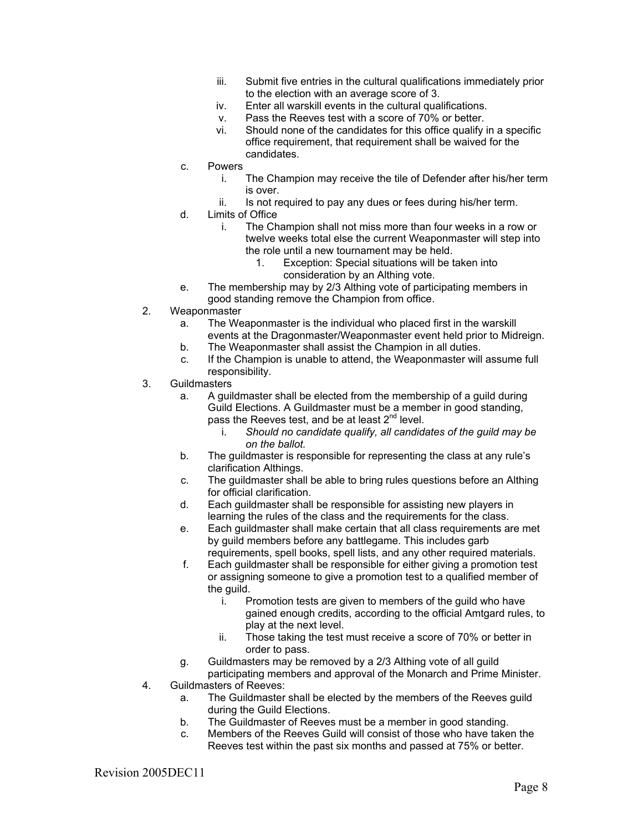- iii. Submit five entries in the cultural qualifications immediately prior to the election with an average score of 3.
- iv. Enter all warskill events in the cultural qualifications.
- v. Pass the Reeves test with a score of 70% or better.
- vi. Should none of the candidates for this office qualify in a specific office requirement, that requirement shall be waived for the candidates.
- c. Powers
	- i. The Champion may receive the tile of Defender after his/her term is over.
	- ii. Is not required to pay any dues or fees during his/her term.
- d. Limits of Office
	- i. The Champion shall not miss more than four weeks in a row or twelve weeks total else the current Weaponmaster will step into the role until a new tournament may be held.
		- 1. Exception: Special situations will be taken into consideration by an Althing vote.
- e. The membership may by 2/3 Althing vote of participating members in good standing remove the Champion from office.
- 2. Weaponmaster
	- a. The Weaponmaster is the individual who placed first in the warskill events at the Dragonmaster/Weaponmaster event held prior to Midreign.
	- b. The Weaponmaster shall assist the Champion in all duties.
	- c. If the Champion is unable to attend, the Weaponmaster will assume full responsibility.
- 3. Guildmasters
	- a. A guildmaster shall be elected from the membership of a guild during Guild Elections. A Guildmaster must be a member in good standing, pass the Reeves test, and be at least  $2^{nd}$  level.
		- i. *Should no candidate qualify, all candidates of the guild may be on the ballot.*
	- b. The guildmaster is responsible for representing the class at any rule's clarification Althings.
	- c. The guildmaster shall be able to bring rules questions before an Althing for official clarification.
	- d. Each guildmaster shall be responsible for assisting new players in learning the rules of the class and the requirements for the class.
	- e. Each guildmaster shall make certain that all class requirements are met by guild members before any battlegame. This includes garb requirements, spell books, spell lists, and any other required materials.
	- f. Each guildmaster shall be responsible for either giving a promotion test or assigning someone to give a promotion test to a qualified member of the guild.
		- i. Promotion tests are given to members of the guild who have gained enough credits, according to the official Amtgard rules, to play at the next level.
		- ii. Those taking the test must receive a score of 70% or better in order to pass.
	- g. Guildmasters may be removed by a 2/3 Althing vote of all guild
- participating members and approval of the Monarch and Prime Minister. 4. Guildmasters of Reeves:
	- a. The Guildmaster shall be elected by the members of the Reeves guild during the Guild Elections.
	- b. The Guildmaster of Reeves must be a member in good standing.
	- c. Members of the Reeves Guild will consist of those who have taken the Reeves test within the past six months and passed at 75% or better.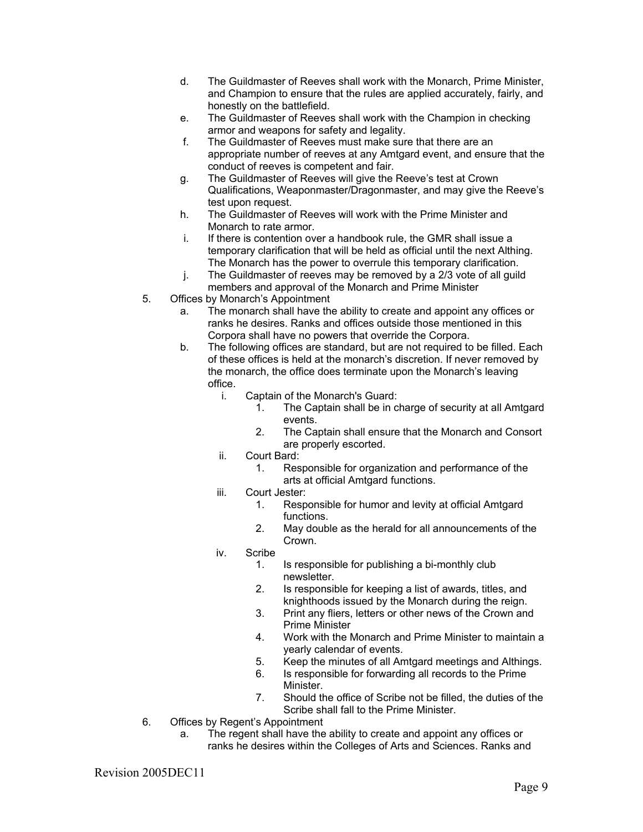- d. The Guildmaster of Reeves shall work with the Monarch, Prime Minister, and Champion to ensure that the rules are applied accurately, fairly, and honestly on the battlefield.
- e. The Guildmaster of Reeves shall work with the Champion in checking armor and weapons for safety and legality.
- f. The Guildmaster of Reeves must make sure that there are an appropriate number of reeves at any Amtgard event, and ensure that the conduct of reeves is competent and fair.
- g. The Guildmaster of Reeves will give the Reeve's test at Crown Qualifications, Weaponmaster/Dragonmaster, and may give the Reeve's test upon request.
- h. The Guildmaster of Reeves will work with the Prime Minister and Monarch to rate armor.
- i. If there is contention over a handbook rule, the GMR shall issue a temporary clarification that will be held as official until the next Althing. The Monarch has the power to overrule this temporary clarification.
- j. The Guildmaster of reeves may be removed by a 2/3 vote of all guild members and approval of the Monarch and Prime Minister
- 5. Offices by Monarch's Appointment
	- a. The monarch shall have the ability to create and appoint any offices or ranks he desires. Ranks and offices outside those mentioned in this Corpora shall have no powers that override the Corpora.
	- b. The following offices are standard, but are not required to be filled. Each of these offices is held at the monarch's discretion. If never removed by the monarch, the office does terminate upon the Monarch's leaving office.
		- i. Captain of the Monarch's Guard:
			- 1. The Captain shall be in charge of security at all Amtgard events.
				- 2. The Captain shall ensure that the Monarch and Consort are properly escorted.
		- ii. Court Bard:
			- 1. Responsible for organization and performance of the arts at official Amtgard functions.
		- iii. Court Jester:
			- 1. Responsible for humor and levity at official Amtgard functions.
			- 2. May double as the herald for all announcements of the Crown.
		- iv. Scribe
			- 1. Is responsible for publishing a bi-monthly club newsletter.
			- 2. Is responsible for keeping a list of awards, titles, and knighthoods issued by the Monarch during the reign.
			- 3. Print any fliers, letters or other news of the Crown and Prime Minister
			- 4. Work with the Monarch and Prime Minister to maintain a yearly calendar of events.
			- 5. Keep the minutes of all Amtgard meetings and Althings.
			- 6. Is responsible for forwarding all records to the Prime Minister.
			- 7. Should the office of Scribe not be filled, the duties of the Scribe shall fall to the Prime Minister.
- 6. Offices by Regent's Appointment
	- a. The regent shall have the ability to create and appoint any offices or ranks he desires within the Colleges of Arts and Sciences. Ranks and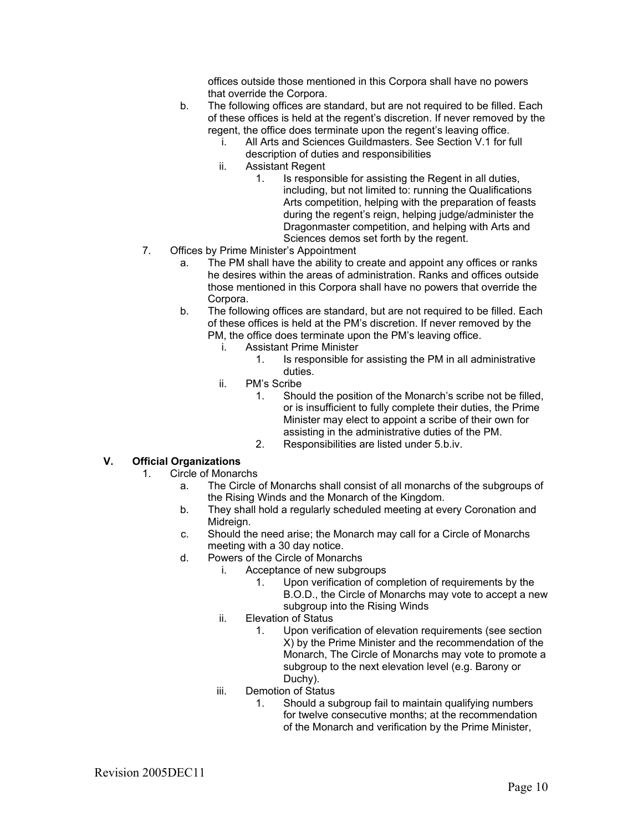offices outside those mentioned in this Corpora shall have no powers that override the Corpora.

- b. The following offices are standard, but are not required to be filled. Each of these offices is held at the regent's discretion. If never removed by the regent, the office does terminate upon the regent's leaving office.
	- i. All Arts and Sciences Guildmasters. See Section V.1 for full description of duties and responsibilities
	- ii. Assistant Regent
		- 1. Is responsible for assisting the Regent in all duties, including, but not limited to: running the Qualifications Arts competition, helping with the preparation of feasts during the regent's reign, helping judge/administer the Dragonmaster competition, and helping with Arts and Sciences demos set forth by the regent.
- 7. Offices by Prime Minister's Appointment
	- a. The PM shall have the ability to create and appoint any offices or ranks he desires within the areas of administration. Ranks and offices outside those mentioned in this Corpora shall have no powers that override the Corpora.
	- b. The following offices are standard, but are not required to be filled. Each of these offices is held at the PM's discretion. If never removed by the PM, the office does terminate upon the PM's leaving office.
		- i. Assistant Prime Minister
			- 1. Is responsible for assisting the PM in all administrative duties.
		- ii. PM's Scribe
			- 1. Should the position of the Monarch's scribe not be filled, or is insufficient to fully complete their duties, the Prime Minister may elect to appoint a scribe of their own for assisting in the administrative duties of the PM.
			- 2. Responsibilities are listed under 5.b.iv.

#### **V. Official Organizations**

- 1. Circle of Monarchs
	- a. The Circle of Monarchs shall consist of all monarchs of the subgroups of the Rising Winds and the Monarch of the Kingdom.
	- b. They shall hold a regularly scheduled meeting at every Coronation and Midreign.
	- c. Should the need arise; the Monarch may call for a Circle of Monarchs meeting with a 30 day notice.
	- d. Powers of the Circle of Monarchs
		- i. Acceptance of new subgroups
			- 1. Upon verification of completion of requirements by the B.O.D., the Circle of Monarchs may vote to accept a new subgroup into the Rising Winds
		- ii. Elevation of Status
			- 1. Upon verification of elevation requirements (see section X) by the Prime Minister and the recommendation of the Monarch, The Circle of Monarchs may vote to promote a subgroup to the next elevation level (e.g. Barony or Duchy).
		- iii. Demotion of Status
			- 1. Should a subgroup fail to maintain qualifying numbers for twelve consecutive months; at the recommendation of the Monarch and verification by the Prime Minister,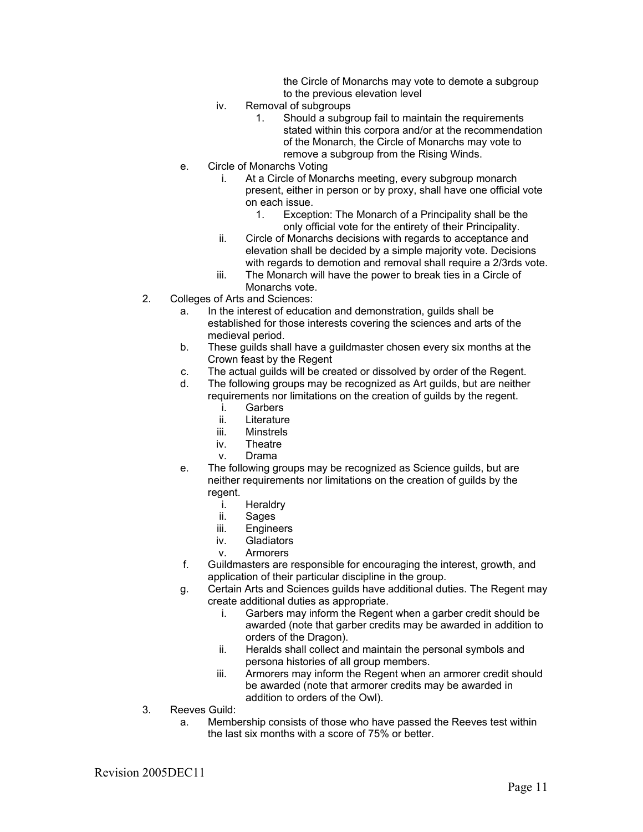the Circle of Monarchs may vote to demote a subgroup to the previous elevation level

- iv. Removal of subgroups
	- 1. Should a subgroup fail to maintain the requirements stated within this corpora and/or at the recommendation of the Monarch, the Circle of Monarchs may vote to remove a subgroup from the Rising Winds.
- e. Circle of Monarchs Voting
	- i. At a Circle of Monarchs meeting, every subgroup monarch present, either in person or by proxy, shall have one official vote on each issue.
		- 1. Exception: The Monarch of a Principality shall be the only official vote for the entirety of their Principality.
	- ii. Circle of Monarchs decisions with regards to acceptance and elevation shall be decided by a simple majority vote. Decisions with regards to demotion and removal shall require a 2/3rds vote.
	- iii. The Monarch will have the power to break ties in a Circle of Monarchs vote.
- 2. Colleges of Arts and Sciences:
	- a. In the interest of education and demonstration, guilds shall be established for those interests covering the sciences and arts of the medieval period.
	- b. These guilds shall have a guildmaster chosen every six months at the Crown feast by the Regent
	- c. The actual guilds will be created or dissolved by order of the Regent.
	- d. The following groups may be recognized as Art guilds, but are neither requirements nor limitations on the creation of guilds by the regent.
		- i. Garbers
		- ii. Literature
		- iii. Minstrels
		- iv. Theatre
		- v. Drama
	- e. The following groups may be recognized as Science guilds, but are neither requirements nor limitations on the creation of guilds by the regent.
		- i. Heraldry
		- ii. Sages
		- iii. Engineers
		- iv. Gladiators
		- v. Armorers
	- f. Guildmasters are responsible for encouraging the interest, growth, and application of their particular discipline in the group.
	- g. Certain Arts and Sciences guilds have additional duties. The Regent may create additional duties as appropriate.
		- i. Garbers may inform the Regent when a garber credit should be awarded (note that garber credits may be awarded in addition to orders of the Dragon).
		- ii. Heralds shall collect and maintain the personal symbols and persona histories of all group members.
		- iii. Armorers may inform the Regent when an armorer credit should be awarded (note that armorer credits may be awarded in addition to orders of the Owl).
- 3. Reeves Guild:
	- a. Membership consists of those who have passed the Reeves test within the last six months with a score of 75% or better.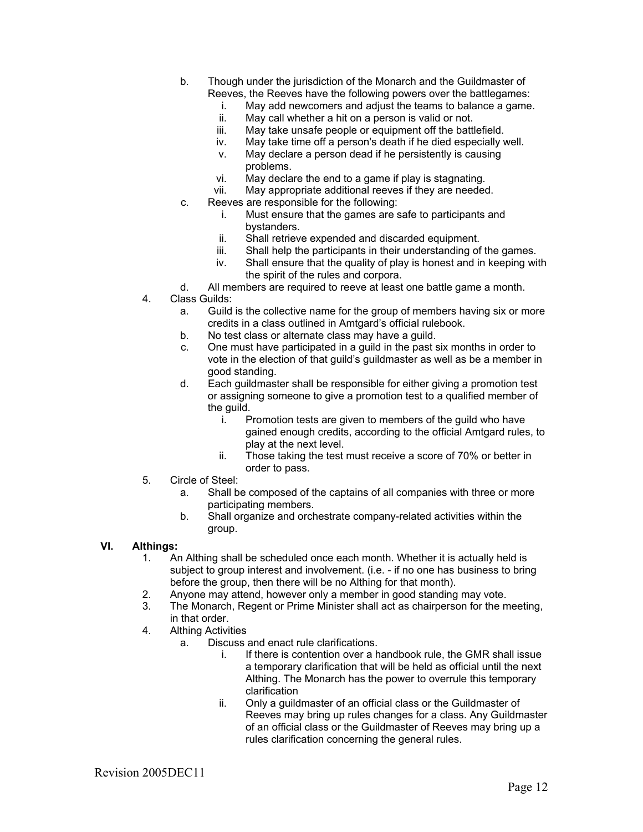- b. Though under the jurisdiction of the Monarch and the Guildmaster of Reeves, the Reeves have the following powers over the battlegames:
	- i. May add newcomers and adjust the teams to balance a game.
	- ii. May call whether a hit on a person is valid or not.
	- iii. May take unsafe people or equipment off the battlefield.
	- iv. May take time off a person's death if he died especially well.
	- v. May declare a person dead if he persistently is causing problems.
	- vi. May declare the end to a game if play is stagnating.
	- vii. May appropriate additional reeves if they are needed.
- c. Reeves are responsible for the following:
	- i. Must ensure that the games are safe to participants and bystanders.
	- ii. Shall retrieve expended and discarded equipment.
	- iii. Shall help the participants in their understanding of the games.
	- iv. Shall ensure that the quality of play is honest and in keeping with the spirit of the rules and corpora.
- d. All members are required to reeve at least one battle game a month.
- 4. Class Guilds:
	- a. Guild is the collective name for the group of members having six or more credits in a class outlined in Amtgard's official rulebook.
	- b. No test class or alternate class may have a guild.
	- c. One must have participated in a guild in the past six months in order to vote in the election of that guild's guildmaster as well as be a member in good standing.
	- d. Each guildmaster shall be responsible for either giving a promotion test or assigning someone to give a promotion test to a qualified member of the guild.
		- i. Promotion tests are given to members of the guild who have gained enough credits, according to the official Amtgard rules, to play at the next level.
		- ii. Those taking the test must receive a score of 70% or better in order to pass.
- 5. Circle of Steel:
	- a. Shall be composed of the captains of all companies with three or more participating members.
	- b. Shall organize and orchestrate company-related activities within the group.

#### **VI. Althings:**

- 1. An Althing shall be scheduled once each month. Whether it is actually held is subject to group interest and involvement. (i.e. - if no one has business to bring before the group, then there will be no Althing for that month).
- 2. Anyone may attend, however only a member in good standing may vote.
- 3. The Monarch, Regent or Prime Minister shall act as chairperson for the meeting, in that order.
- 4. Althing Activities
	- a. Discuss and enact rule clarifications.
		- i. If there is contention over a handbook rule, the GMR shall issue a temporary clarification that will be held as official until the next Althing. The Monarch has the power to overrule this temporary clarification
		- ii. Only a guildmaster of an official class or the Guildmaster of Reeves may bring up rules changes for a class. Any Guildmaster of an official class or the Guildmaster of Reeves may bring up a rules clarification concerning the general rules.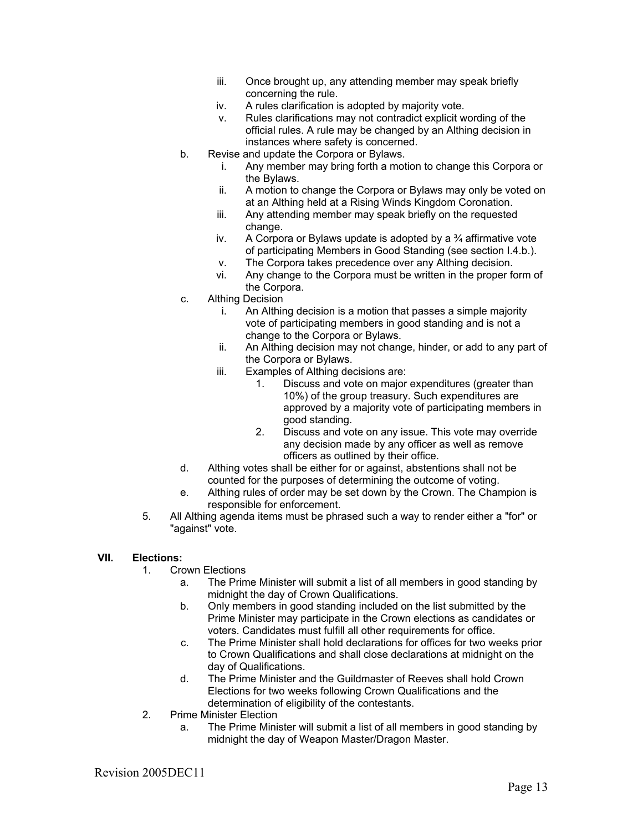- iii. Once brought up, any attending member may speak briefly concerning the rule.
- iv. A rules clarification is adopted by majority vote.
- v. Rules clarifications may not contradict explicit wording of the official rules. A rule may be changed by an Althing decision in instances where safety is concerned.
- b. Revise and update the Corpora or Bylaws.
	- i. Any member may bring forth a motion to change this Corpora or the Bylaws.
	- ii. A motion to change the Corpora or Bylaws may only be voted on at an Althing held at a Rising Winds Kingdom Coronation.
	- iii. Any attending member may speak briefly on the requested change.
	- iv. A Corpora or Bylaws update is adopted by a  $\frac{3}{4}$  affirmative vote of participating Members in Good Standing (see section I.4.b.).
	- v. The Corpora takes precedence over any Althing decision.
	- vi. Any change to the Corpora must be written in the proper form of the Corpora.
- c. Althing Decision
	- i. An Althing decision is a motion that passes a simple majority vote of participating members in good standing and is not a change to the Corpora or Bylaws.
	- ii. An Althing decision may not change, hinder, or add to any part of the Corpora or Bylaws.
	- iii. Examples of Althing decisions are:
		- 1. Discuss and vote on major expenditures (greater than 10%) of the group treasury. Such expenditures are approved by a majority vote of participating members in good standing.
		- 2. Discuss and vote on any issue. This vote may override any decision made by any officer as well as remove officers as outlined by their office.
- d. Althing votes shall be either for or against, abstentions shall not be counted for the purposes of determining the outcome of voting.
- e. Althing rules of order may be set down by the Crown. The Champion is responsible for enforcement.
- 5. All Althing agenda items must be phrased such a way to render either a "for" or "against" vote.

#### **VII. Elections:**

- 1. Crown Elections
	- a. The Prime Minister will submit a list of all members in good standing by midnight the day of Crown Qualifications.
	- b. Only members in good standing included on the list submitted by the Prime Minister may participate in the Crown elections as candidates or voters. Candidates must fulfill all other requirements for office.
	- c. The Prime Minister shall hold declarations for offices for two weeks prior to Crown Qualifications and shall close declarations at midnight on the day of Qualifications.
	- d. The Prime Minister and the Guildmaster of Reeves shall hold Crown Elections for two weeks following Crown Qualifications and the determination of eligibility of the contestants.
- 2. Prime Minister Election
	- a. The Prime Minister will submit a list of all members in good standing by midnight the day of Weapon Master/Dragon Master.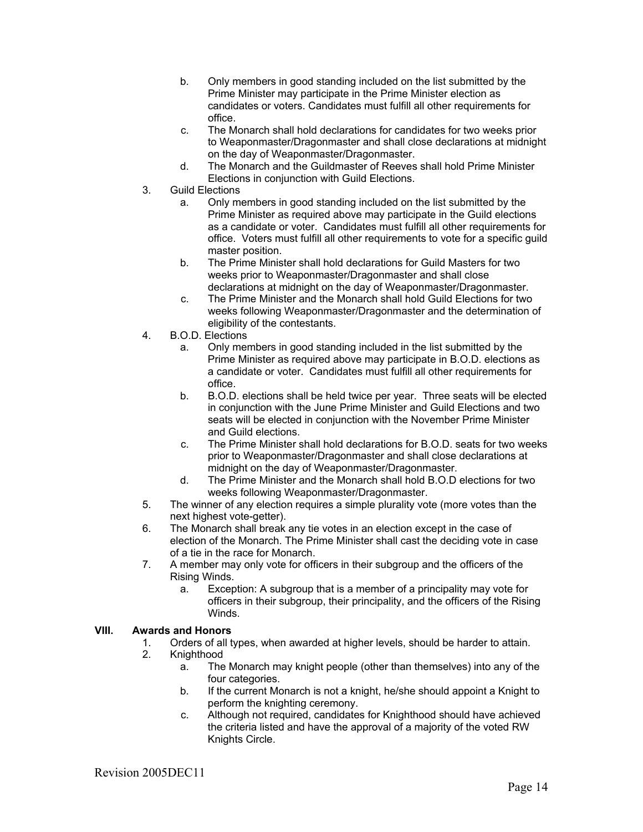- b. Only members in good standing included on the list submitted by the Prime Minister may participate in the Prime Minister election as candidates or voters. Candidates must fulfill all other requirements for office.
- c. The Monarch shall hold declarations for candidates for two weeks prior to Weaponmaster/Dragonmaster and shall close declarations at midnight on the day of Weaponmaster/Dragonmaster.
- d. The Monarch and the Guildmaster of Reeves shall hold Prime Minister Elections in conjunction with Guild Elections.
- 3. Guild Elections
	- a. Only members in good standing included on the list submitted by the Prime Minister as required above may participate in the Guild elections as a candidate or voter. Candidates must fulfill all other requirements for office. Voters must fulfill all other requirements to vote for a specific guild master position.
	- b. The Prime Minister shall hold declarations for Guild Masters for two weeks prior to Weaponmaster/Dragonmaster and shall close declarations at midnight on the day of Weaponmaster/Dragonmaster.
	- c. The Prime Minister and the Monarch shall hold Guild Elections for two weeks following Weaponmaster/Dragonmaster and the determination of eligibility of the contestants.
- 4. B.O.D. Elections
	- a. Only members in good standing included in the list submitted by the Prime Minister as required above may participate in B.O.D. elections as a candidate or voter. Candidates must fulfill all other requirements for office.
	- b. B.O.D. elections shall be held twice per year. Three seats will be elected in conjunction with the June Prime Minister and Guild Elections and two seats will be elected in conjunction with the November Prime Minister and Guild elections.
	- c. The Prime Minister shall hold declarations for B.O.D. seats for two weeks prior to Weaponmaster/Dragonmaster and shall close declarations at midnight on the day of Weaponmaster/Dragonmaster.
	- d. The Prime Minister and the Monarch shall hold B.O.D elections for two weeks following Weaponmaster/Dragonmaster.
- 5. The winner of any election requires a simple plurality vote (more votes than the next highest vote-getter).
- 6. The Monarch shall break any tie votes in an election except in the case of election of the Monarch. The Prime Minister shall cast the deciding vote in case of a tie in the race for Monarch.
- 7. A member may only vote for officers in their subgroup and the officers of the Rising Winds.
	- a. Exception: A subgroup that is a member of a principality may vote for officers in their subgroup, their principality, and the officers of the Rising Winds.

# **VIII. Awards and Honors**

- Orders of all types, when awarded at higher levels, should be harder to attain.
- 2. Knighthood
	- a. The Monarch may knight people (other than themselves) into any of the four categories.
	- b. If the current Monarch is not a knight, he/she should appoint a Knight to perform the knighting ceremony.
	- c. Although not required, candidates for Knighthood should have achieved the criteria listed and have the approval of a majority of the voted RW Knights Circle.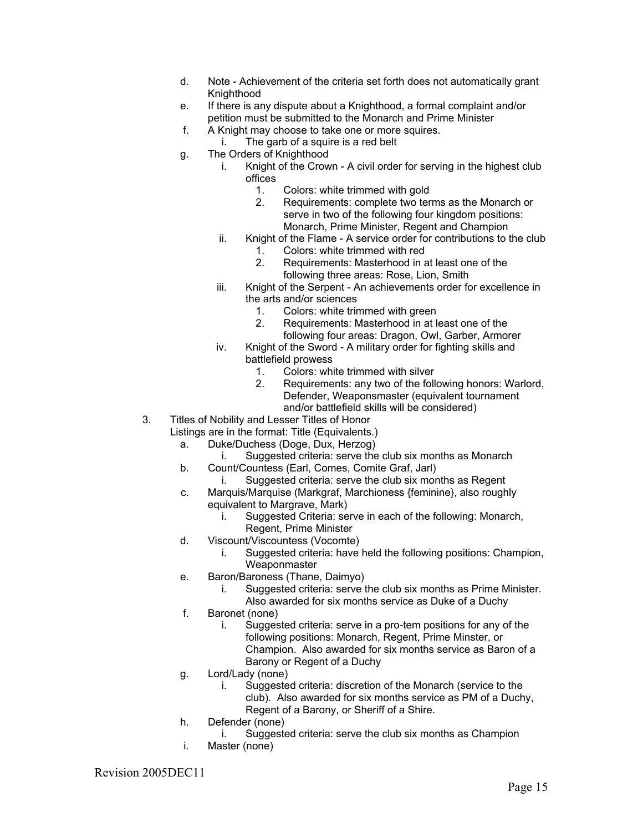- d. Note Achievement of the criteria set forth does not automatically grant Knighthood
- e. If there is any dispute about a Knighthood, a formal complaint and/or petition must be submitted to the Monarch and Prime Minister
- f. A Knight may choose to take one or more squires.
	- i. The garb of a squire is a red belt
- g. The Orders of Knighthood
	- i. Knight of the Crown A civil order for serving in the highest club offices
		- 1. Colors: white trimmed with gold
		- 2. Requirements: complete two terms as the Monarch or serve in two of the following four kingdom positions: Monarch, Prime Minister, Regent and Champion
		- ii. Knight of the Flame A service order for contributions to the club
			- 1. Colors: white trimmed with red
			- 2. Requirements: Masterhood in at least one of the following three areas: Rose, Lion, Smith
	- iii. Knight of the Serpent An achievements order for excellence in the arts and/or sciences
		- 1. Colors: white trimmed with green<br>2. Requirements: Masterhood in at la
		- Requirements: Masterhood in at least one of the following four areas: Dragon, Owl, Garber, Armorer
	- iv. Knight of the Sword A military order for fighting skills and battlefield prowess
		- 1. Colors: white trimmed with silver
		- 2. Requirements: any two of the following honors: Warlord, Defender, Weaponsmaster (equivalent tournament and/or battlefield skills will be considered)
- 3. Titles of Nobility and Lesser Titles of Honor
	- Listings are in the format: Title (Equivalents.)
		- a. Duke/Duchess (Doge, Dux, Herzog)
			- i. Suggested criteria: serve the club six months as Monarch
		- b. Count/Countess (Earl, Comes, Comite Graf, Jarl)
			- i. Suggested criteria: serve the club six months as Regent
		- c. Marquis/Marquise (Markgraf, Marchioness {feminine}, also roughly equivalent to Margrave, Mark)
			- i. Suggested Criteria: serve in each of the following: Monarch, Regent, Prime Minister
		- d. Viscount/Viscountess (Vocomte)
			- i. Suggested criteria: have held the following positions: Champion, Weaponmaster
		- e. Baron/Baroness (Thane, Daimyo)
			- i. Suggested criteria: serve the club six months as Prime Minister.
		- Also awarded for six months service as Duke of a Duchy f. Baronet (none)
			- i. Suggested criteria: serve in a pro-tem positions for any of the following positions: Monarch, Regent, Prime Minster, or Champion. Also awarded for six months service as Baron of a Barony or Regent of a Duchy
		- g. Lord/Lady (none)
			- i. Suggested criteria: discretion of the Monarch (service to the club). Also awarded for six months service as PM of a Duchy,
			- Regent of a Barony, or Sheriff of a Shire.
	- h. Defender (none)
		- i. Suggested criteria: serve the club six months as Champion
	- i. Master (none)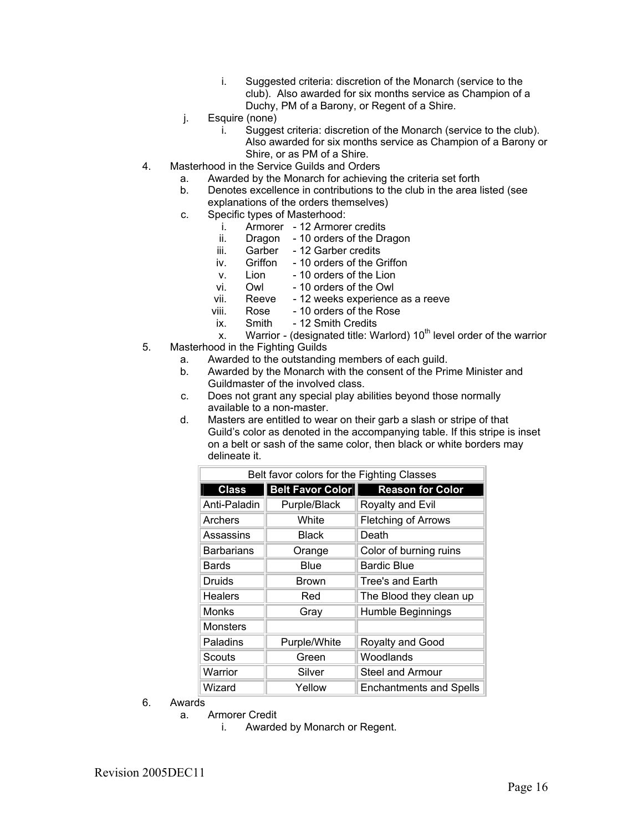- i. Suggested criteria: discretion of the Monarch (service to the club). Also awarded for six months service as Champion of a Duchy, PM of a Barony, or Regent of a Shire.
- j. Esquire (none)
	- i. Suggest criteria: discretion of the Monarch (service to the club). Also awarded for six months service as Champion of a Barony or Shire, or as PM of a Shire.
- 4. Masterhood in the Service Guilds and Orders
	- a. Awarded by the Monarch for achieving the criteria set forth
	- Denotes excellence in contributions to the club in the area listed (see explanations of the orders themselves)
	- c. Specific types of Masterhood:
		- i. Armorer 12 Armorer credits
		- ii. Dragon 10 orders of the Dragon
		- iii. Garber 12 Garber credits
		- iv. Griffon 10 orders of the Griffon
		- v. Lion 10 orders of the Lion
		- vi. Owl 10 orders of the Owl
		- vii. Reeve 12 weeks experience as a reeve
		- viii. Rose 10 orders of the Rose<br>ix. Smith 12 Smith Credits
		- ix. Smith 12 Smith Credits
		- x. Warrior (designated title: Warlord)  $10<sup>th</sup>$  level order of the warrior
- 5. Masterhood in the Fighting Guilds
	- a. Awarded to the outstanding members of each guild.
	- b. Awarded by the Monarch with the consent of the Prime Minister and Guildmaster of the involved class.
	- c. Does not grant any special play abilities beyond those normally available to a non-master.
	- d. Masters are entitled to wear on their garb a slash or stripe of that Guild's color as denoted in the accompanying table. If this stripe is inset on a belt or sash of the same color, then black or white borders may delineate it.

| Belt favor colors for the Fighting Classes |                  |                                |  |
|--------------------------------------------|------------------|--------------------------------|--|
| <b>Class</b>                               | Belt Favor Color | <b>Reason for Color</b>        |  |
| Anti-Paladin                               | Purple/Black     | Royalty and Evil               |  |
| Archers                                    | White            | <b>Fletching of Arrows</b>     |  |
| Assassins                                  | <b>Black</b>     | Death                          |  |
| <b>Barbarians</b>                          | Orange           | Color of burning ruins         |  |
| <b>Bards</b>                               | Blue             | <b>Bardic Blue</b>             |  |
| Druids                                     | <b>Brown</b>     | <b>Tree's and Earth</b>        |  |
| <b>Healers</b>                             | Red              | The Blood they clean up        |  |
| Monks                                      | Gray             | Humble Beginnings              |  |
| <b>Monsters</b>                            |                  |                                |  |
| Paladins                                   | Purple/White     | Royalty and Good               |  |
| Scouts                                     | Green            | Woodlands                      |  |
| Warrior                                    | Silver           | <b>Steel and Armour</b>        |  |
| Wizard                                     | Yellow           | <b>Enchantments and Spells</b> |  |

- 6. Awards
	- a. Armorer Credit
		- i. Awarded by Monarch or Regent.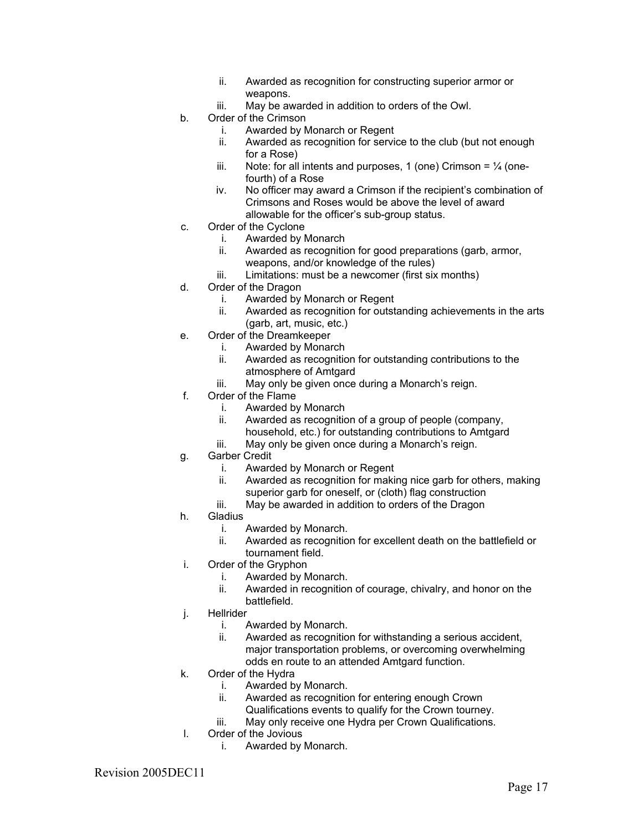- ii. Awarded as recognition for constructing superior armor or weapons.
- iii. May be awarded in addition to orders of the Owl.
- b. Order of the Crimson
	- i. Awarded by Monarch or Regent
	- ii. Awarded as recognition for service to the club (but not enough for a Rose)
	- iii. Note: for all intents and purposes, 1 (one) Crimson =  $\frac{1}{4}$  (onefourth) of a Rose
	- iv. No officer may award a Crimson if the recipient's combination of Crimsons and Roses would be above the level of award allowable for the officer's sub-group status.
- c. Order of the Cyclone
	- i. Awarded by Monarch
	- ii. Awarded as recognition for good preparations (garb, armor, weapons, and/or knowledge of the rules)
	- iii. Limitations: must be a newcomer (first six months)
- d. Order of the Dragon
	- i. Awarded by Monarch or Regent
	- ii. Awarded as recognition for outstanding achievements in the arts (garb, art, music, etc.)
- e. Order of the Dreamkeeper
	- i. Awarded by Monarch
	- ii. Awarded as recognition for outstanding contributions to the atmosphere of Amtgard
	- iii. May only be given once during a Monarch's reign.
- f. Order of the Flame
	- i. Awarded by Monarch
	- ii. Awarded as recognition of a group of people (company, household, etc.) for outstanding contributions to Amtgard
	- iii. May only be given once during a Monarch's reign.
- g. Garber Credit
	- i. Awarded by Monarch or Regent
	- ii. Awarded as recognition for making nice garb for others, making superior garb for oneself, or (cloth) flag construction
	- iii. May be awarded in addition to orders of the Dragon
- h. Gladius
	- i. Awarded by Monarch.
	- ii. Awarded as recognition for excellent death on the battlefield or tournament field.
- i. Order of the Gryphon
	- i. Awarded by Monarch.
	- ii. Awarded in recognition of courage, chivalry, and honor on the battlefield.
- j. Hellrider
	- i. Awarded by Monarch.
	- ii. Awarded as recognition for withstanding a serious accident, major transportation problems, or overcoming overwhelming odds en route to an attended Amtgard function.
- k. Order of the Hydra
	- i. Awarded by Monarch.
	- ii. Awarded as recognition for entering enough Crown
	- Qualifications events to qualify for the Crown tourney.
	- iii. May only receive one Hydra per Crown Qualifications.
- l. Order of the Jovious
	- i. Awarded by Monarch.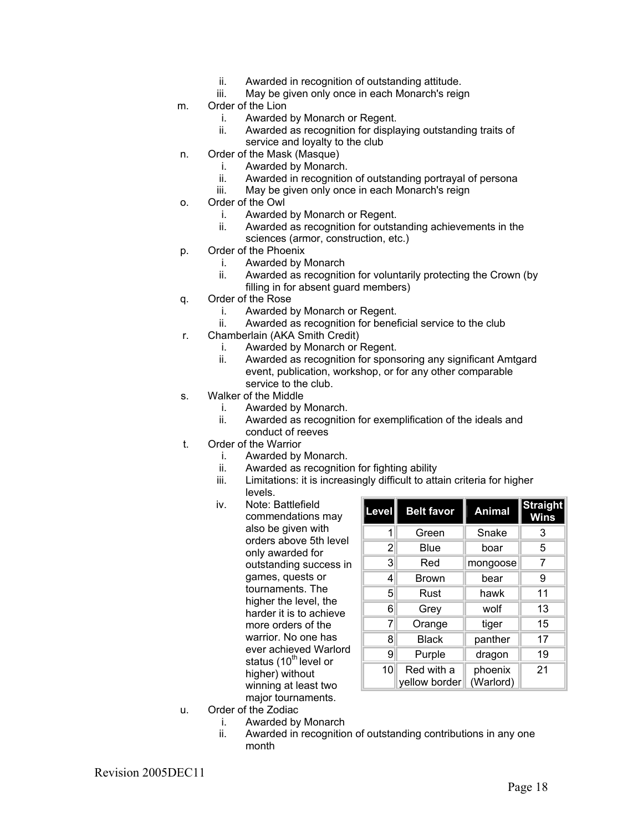- ii. Awarded in recognition of outstanding attitude.
- iii. May be given only once in each Monarch's reign
- m. Order of the Lion
	- i. Awarded by Monarch or Regent.
	- ii. Awarded as recognition for displaying outstanding traits of service and loyalty to the club
- n. Order of the Mask (Masque)
	- i. Awarded by Monarch.
	- ii. Awarded in recognition of outstanding portrayal of persona
	- iii. May be given only once in each Monarch's reign
- o. Order of the Owl
	- i. Awarded by Monarch or Regent.
	- ii. Awarded as recognition for outstanding achievements in the sciences (armor, construction, etc.)
- p. Order of the Phoenix
	- i. Awarded by Monarch
	- ii. Awarded as recognition for voluntarily protecting the Crown (by filling in for absent guard members)
- q. Order of the Rose
	- i. Awarded by Monarch or Regent.<br>ii. Awarded as recognition for benet
	- Awarded as recognition for beneficial service to the club
- r. Chamberlain (AKA Smith Credit)
	- i. Awarded by Monarch or Regent.
	- ii. Awarded as recognition for sponsoring any significant Amtgard event, publication, workshop, or for any other comparable service to the club.
- s. Walker of the Middle
	- i. Awarded by Monarch.
	- ii. Awarded as recognition for exemplification of the ideals and conduct of reeves
- t. Order of the Warrior
	- i. Awarded by Monarch.
	- ii. Awarded as recognition for fighting ability
	- iii. Limitations: it is increasingly difficult to attain criteria for higher levels.
	- iv. Note: Battlefield commendations may also be given with orders above 5th level only awarded for outstanding success in games, quests or tournaments. The higher the level, the harder it is to achieve more orders of the warrior. No one has ever achieved Warlord status (10<sup>th</sup> level or higher) without winning at least two major tournaments.

| Level          | <b>Belt favor</b>           | <b>Animal</b>        | <b>Straight</b><br><b>Wins</b> |
|----------------|-----------------------------|----------------------|--------------------------------|
| 1              | Green                       | Snake                | 3                              |
| $\overline{2}$ | Blue                        | boar                 | 5                              |
| 3              | Red                         | mongoose             | 7                              |
| 4              | <b>Brown</b>                | bear                 | 9                              |
| 5              | Rust                        | hawk                 | 11                             |
| 6              | Grey                        | wolf                 | 13                             |
| 7              | Orange                      | tiger                | 15                             |
| 8              | <b>Black</b>                | panther              | 17                             |
| 9              | Purple                      | dragon               | 19                             |
| 10             | Red with a<br>yellow border | phoenix<br>(Warlord) | 21                             |

- u. Order of the Zodiac
	- i. Awarded by Monarch
	- ii. Awarded in recognition of outstanding contributions in any one month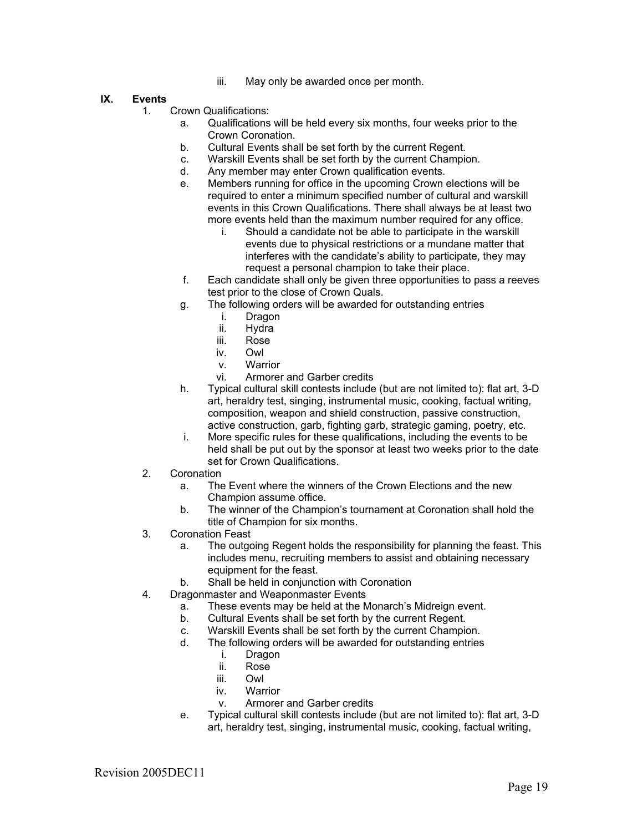iii. May only be awarded once per month.

#### **IX. Events**

- 1. Crown Qualifications:
	- a. Qualifications will be held every six months, four weeks prior to the Crown Coronation.
	- b. Cultural Events shall be set forth by the current Regent.
	- c. Warskill Events shall be set forth by the current Champion.
	- d. Any member may enter Crown qualification events.
	- e. Members running for office in the upcoming Crown elections will be required to enter a minimum specified number of cultural and warskill events in this Crown Qualifications. There shall always be at least two more events held than the maximum number required for any office.
		- i. Should a candidate not be able to participate in the warskill events due to physical restrictions or a mundane matter that interferes with the candidate's ability to participate, they may request a personal champion to take their place.
	- f. Each candidate shall only be given three opportunities to pass a reeves test prior to the close of Crown Quals.
	- g. The following orders will be awarded for outstanding entries
		- i. Dragon
		- ii. Hydra
		- iii. Rose
		- iv. Owl
		- v. Warrior
		- vi. Armorer and Garber credits
	- h. Typical cultural skill contests include (but are not limited to): flat art, 3-D art, heraldry test, singing, instrumental music, cooking, factual writing, composition, weapon and shield construction, passive construction, active construction, garb, fighting garb, strategic gaming, poetry, etc.
	- i. More specific rules for these qualifications, including the events to be held shall be put out by the sponsor at least two weeks prior to the date set for Crown Qualifications.
- 2. Coronation
	- a. The Event where the winners of the Crown Elections and the new Champion assume office.
	- b. The winner of the Champion's tournament at Coronation shall hold the title of Champion for six months.
- 3. Coronation Feast
	- a. The outgoing Regent holds the responsibility for planning the feast. This includes menu, recruiting members to assist and obtaining necessary equipment for the feast.
	- b. Shall be held in conjunction with Coronation
- 4. Dragonmaster and Weaponmaster Events
	- a. These events may be held at the Monarch's Midreign event.
	- b. Cultural Events shall be set forth by the current Regent.
	- c. Warskill Events shall be set forth by the current Champion.
	- d. The following orders will be awarded for outstanding entries
		- i. Dragon
		- ii. Rose
		- iii. Owl
		- iv. Warrior
		- v. Armorer and Garber credits
	- e. Typical cultural skill contests include (but are not limited to): flat art, 3-D art, heraldry test, singing, instrumental music, cooking, factual writing,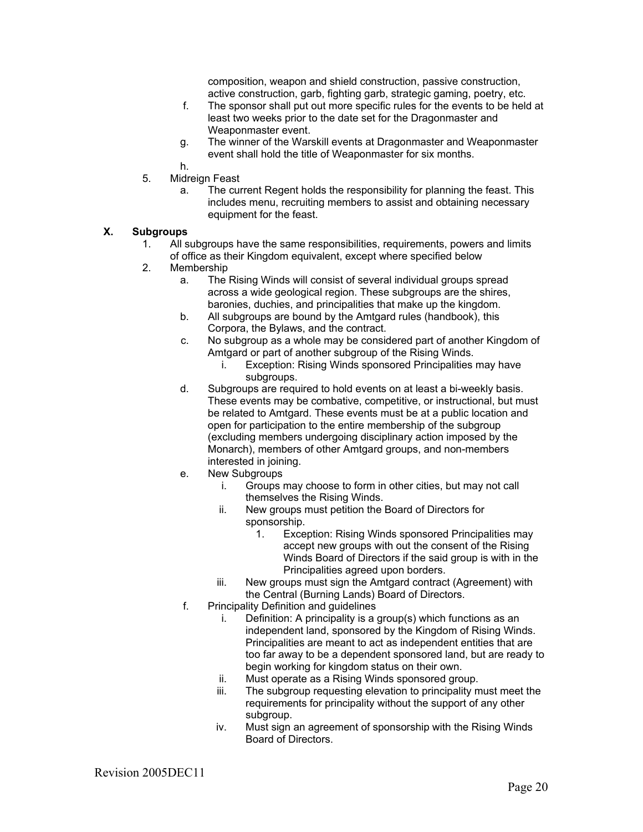composition, weapon and shield construction, passive construction, active construction, garb, fighting garb, strategic gaming, poetry, etc.

- f. The sponsor shall put out more specific rules for the events to be held at least two weeks prior to the date set for the Dragonmaster and Weaponmaster event.
- g. The winner of the Warskill events at Dragonmaster and Weaponmaster event shall hold the title of Weaponmaster for six months.
- h.
- 5. Midreign Feast
	- a. The current Regent holds the responsibility for planning the feast. This includes menu, recruiting members to assist and obtaining necessary equipment for the feast.

#### **X. Subgroups**

- 1. All subgroups have the same responsibilities, requirements, powers and limits of office as their Kingdom equivalent, except where specified below
- 2. Membership
	- a. The Rising Winds will consist of several individual groups spread across a wide geological region. These subgroups are the shires, baronies, duchies, and principalities that make up the kingdom.
	- b. All subgroups are bound by the Amtgard rules (handbook), this Corpora, the Bylaws, and the contract.
	- c. No subgroup as a whole may be considered part of another Kingdom of Amtgard or part of another subgroup of the Rising Winds.
		- i. Exception: Rising Winds sponsored Principalities may have subgroups.
	- d. Subgroups are required to hold events on at least a bi-weekly basis. These events may be combative, competitive, or instructional, but must be related to Amtgard. These events must be at a public location and open for participation to the entire membership of the subgroup (excluding members undergoing disciplinary action imposed by the Monarch), members of other Amtgard groups, and non-members interested in joining.
	- e. New Subgroups
		- i. Groups may choose to form in other cities, but may not call themselves the Rising Winds.
		- ii. New groups must petition the Board of Directors for sponsorship.
			- 1. Exception: Rising Winds sponsored Principalities may accept new groups with out the consent of the Rising Winds Board of Directors if the said group is with in the Principalities agreed upon borders.
		- iii. New groups must sign the Amtgard contract (Agreement) with the Central (Burning Lands) Board of Directors.
	- f. Principality Definition and guidelines
		- i. Definition: A principality is a group(s) which functions as an independent land, sponsored by the Kingdom of Rising Winds. Principalities are meant to act as independent entities that are too far away to be a dependent sponsored land, but are ready to begin working for kingdom status on their own.
		- ii. Must operate as a Rising Winds sponsored group.
		- iii. The subgroup requesting elevation to principality must meet the requirements for principality without the support of any other subgroup.
		- iv. Must sign an agreement of sponsorship with the Rising Winds Board of Directors.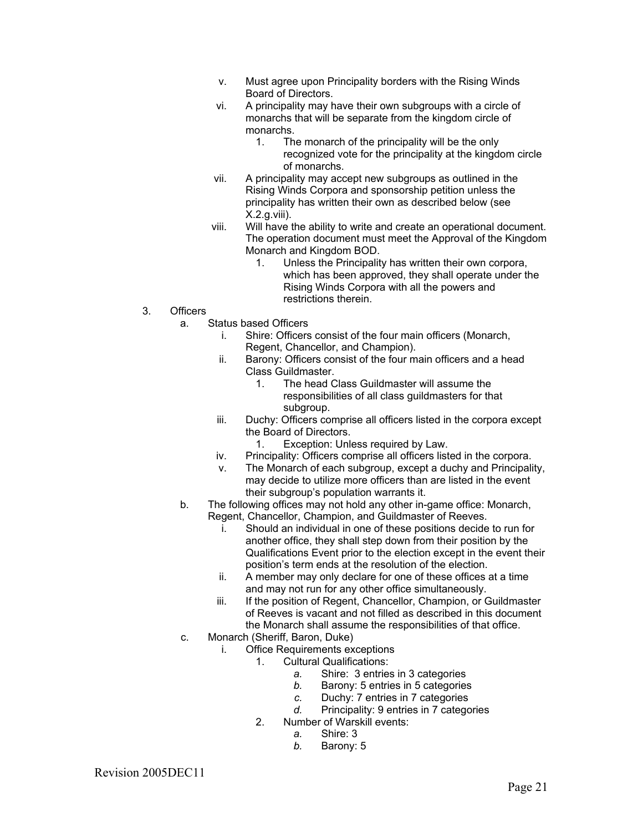- v. Must agree upon Principality borders with the Rising Winds Board of Directors.
- vi. A principality may have their own subgroups with a circle of monarchs that will be separate from the kingdom circle of monarchs.
	- 1. The monarch of the principality will be the only recognized vote for the principality at the kingdom circle of monarchs.
- vii. A principality may accept new subgroups as outlined in the Rising Winds Corpora and sponsorship petition unless the principality has written their own as described below (see X.2.g.viii).
- viii. Will have the ability to write and create an operational document. The operation document must meet the Approval of the Kingdom Monarch and Kingdom BOD.
	- 1. Unless the Principality has written their own corpora, which has been approved, they shall operate under the Rising Winds Corpora with all the powers and restrictions therein.
- 3. Officers
	- a. Status based Officers
		- i. Shire: Officers consist of the four main officers (Monarch, Regent, Chancellor, and Champion).
		- ii. Barony: Officers consist of the four main officers and a head Class Guildmaster.
			- 1. The head Class Guildmaster will assume the responsibilities of all class guildmasters for that subgroup.
		- iii. Duchy: Officers comprise all officers listed in the corpora except the Board of Directors.
			- 1. Exception: Unless required by Law.
		- iv. Principality: Officers comprise all officers listed in the corpora.
		- v. The Monarch of each subgroup, except a duchy and Principality, may decide to utilize more officers than are listed in the event their subgroup's population warrants it.
	- b. The following offices may not hold any other in-game office: Monarch, Regent, Chancellor, Champion, and Guildmaster of Reeves.
		- i. Should an individual in one of these positions decide to run for another office, they shall step down from their position by the Qualifications Event prior to the election except in the event their position's term ends at the resolution of the election.
		- ii. A member may only declare for one of these offices at a time and may not run for any other office simultaneously.
		- iii. If the position of Regent, Chancellor, Champion, or Guildmaster of Reeves is vacant and not filled as described in this document the Monarch shall assume the responsibilities of that office.
	- c. Monarch (Sheriff, Baron, Duke)
		- i. Office Requirements exceptions
			- 1. Cultural Qualifications:
				- *a.* Shire: 3 entries in 3 categories
				- *b.* Barony: 5 entries in 5 categories
				- *c.* Duchy: 7 entries in 7 categories
				- *d.* Principality: 9 entries in 7 categories
			- 2. Number of Warskill events:
				- *a.* Shire: 3
				- *b.* Barony: 5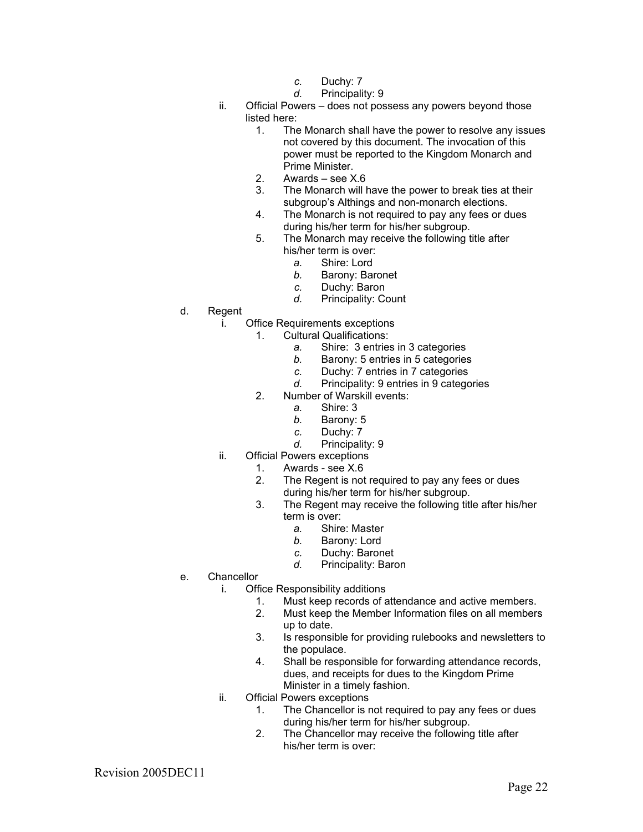- *c.* Duchy: 7
- *d.* Principality: 9
- ii. Official Powers does not possess any powers beyond those listed here:
	- 1. The Monarch shall have the power to resolve any issues not covered by this document. The invocation of this power must be reported to the Kingdom Monarch and Prime Minister.
	- 2. Awards see X.6
	- 3. The Monarch will have the power to break ties at their subgroup's Althings and non-monarch elections.
	- 4. The Monarch is not required to pay any fees or dues during his/her term for his/her subgroup.
	- 5. The Monarch may receive the following title after his/her term is over:
		- *a.* Shire: Lord
		- *b.* Barony: Baronet
		- *c.* Duchy: Baron
		- *d.* Principality: Count
- d. Regent
	- i. Office Requirements exceptions
		- 1. Cultural Qualifications:
			- *a.* Shire: 3 entries in 3 categories
			- *b.* Barony: 5 entries in 5 categories
			- *c.* Duchy: 7 entries in 7 categories
			- *d.* Principality: 9 entries in 9 categories
		- 2. Number of Warskill events:
			- *a.* Shire: 3
			- *b.* Barony: 5
			- *c.* Duchy: 7
			- *d.* Principality: 9
	- ii. Official Powers exceptions
		- 1. Awards see X.6
		- 2. The Regent is not required to pay any fees or dues during his/her term for his/her subgroup.
		- 3. The Regent may receive the following title after his/her term is over:
			- *a.* Shire: Master
			- *b.* Barony: Lord
			- *c.* Duchy: Baronet
			- *d.* Principality: Baron
- e. Chancellor
	- i. Office Responsibility additions
		- 1. Must keep records of attendance and active members.
		- 2. Must keep the Member Information files on all members up to date.
		- 3. Is responsible for providing rulebooks and newsletters to the populace.
		- 4. Shall be responsible for forwarding attendance records, dues, and receipts for dues to the Kingdom Prime Minister in a timely fashion.
	- ii. Official Powers exceptions
		- 1. The Chancellor is not required to pay any fees or dues during his/her term for his/her subgroup.
		- 2. The Chancellor may receive the following title after his/her term is over:

Revision 2005DEC11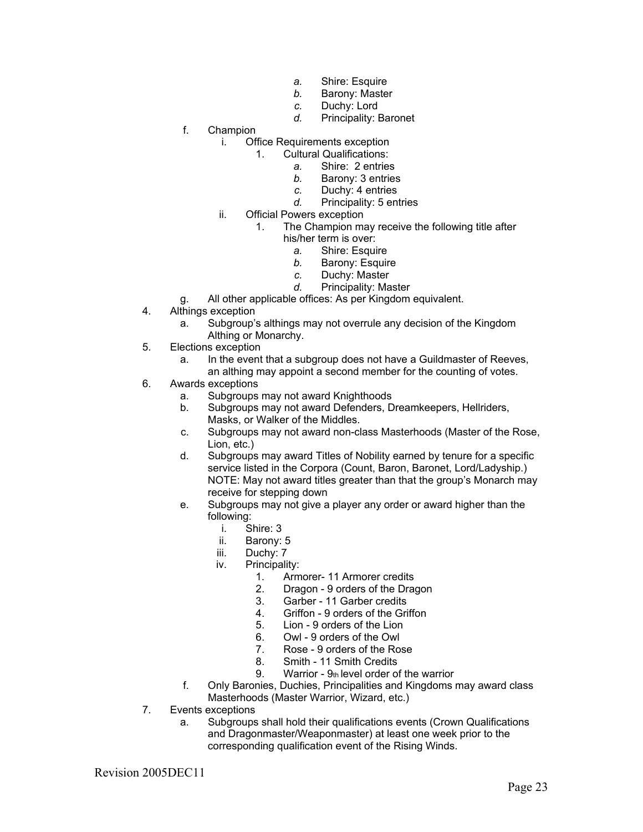- *a.* Shire: Esquire
- *b.* Barony: Master
- *c.* Duchy: Lord
- *d.* Principality: Baronet
- f. Champion
	- i. Office Requirements exception
		- 1. Cultural Qualifications:
			- *a.* Shire: 2 entries
			- *b.* Barony: 3 entries
			- *c.* Duchy: 4 entries
			- *d.* Principality: 5 entries
	- ii. Official Powers exception
		- 1. The Champion may receive the following title after
			- his/her term is over:
				- *a.* Shire: Esquire
				- *b.* Barony: Esquire
				- *c.* Duchy: Master
				- *d.* Principality: Master
- g. All other applicable offices: As per Kingdom equivalent.
- 4. Althings exception
	- a. Subgroup's althings may not overrule any decision of the Kingdom Althing or Monarchy.
- 5. Elections exception
	- a. In the event that a subgroup does not have a Guildmaster of Reeves, an althing may appoint a second member for the counting of votes.
- 6. Awards exceptions
	- a. Subgroups may not award Knighthoods
	- b. Subgroups may not award Defenders, Dreamkeepers, Hellriders, Masks, or Walker of the Middles.
	- c. Subgroups may not award non-class Masterhoods (Master of the Rose, Lion, etc.)
	- d. Subgroups may award Titles of Nobility earned by tenure for a specific service listed in the Corpora (Count, Baron, Baronet, Lord/Ladyship.) NOTE: May not award titles greater than that the group's Monarch may receive for stepping down
	- e. Subgroups may not give a player any order or award higher than the following:
		- i. Shire: 3
		- ii. Barony: 5
		- iii. Duchy: 7
		- iv. Principality:
			- 1. Armorer- 11 Armorer credits
			- 2. Dragon 9 orders of the Dragon
			- 3. Garber 11 Garber credits
			- 4. Griffon 9 orders of the Griffon
			- 5. Lion 9 orders of the Lion
			- 6. Owl 9 orders of the Owl
			- 7. Rose 9 orders of the Rose<br>8. Smith 11 Smith Credits
			- 8. Smith 11 Smith Credits
			- 9. Warrior  $9<sub>th</sub>$  level order of the warrior
	- f. Only Baronies, Duchies, Principalities and Kingdoms may award class Masterhoods (Master Warrior, Wizard, etc.)
- 7. Events exceptions
	- a. Subgroups shall hold their qualifications events (Crown Qualifications and Dragonmaster/Weaponmaster) at least one week prior to the corresponding qualification event of the Rising Winds.